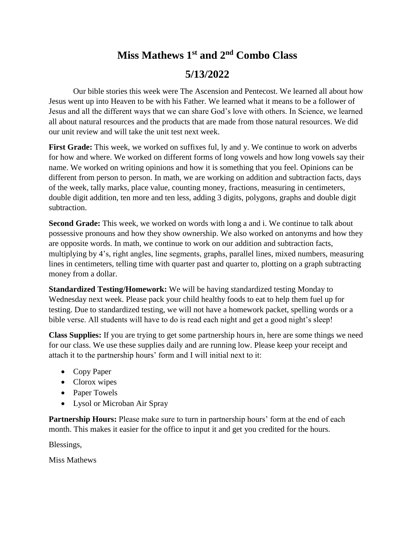## **Miss Mathews 1st and 2 nd Combo Class 5/13/2022**

Our bible stories this week were The Ascension and Pentecost. We learned all about how Jesus went up into Heaven to be with his Father. We learned what it means to be a follower of Jesus and all the different ways that we can share God's love with others. In Science, we learned all about natural resources and the products that are made from those natural resources. We did our unit review and will take the unit test next week.

First Grade: This week, we worked on suffixes ful, ly and y. We continue to work on adverbs for how and where. We worked on different forms of long vowels and how long vowels say their name. We worked on writing opinions and how it is something that you feel. Opinions can be different from person to person. In math, we are working on addition and subtraction facts, days of the week, tally marks, place value, counting money, fractions, measuring in centimeters, double digit addition, ten more and ten less, adding 3 digits, polygons, graphs and double digit subtraction.

**Second Grade:** This week, we worked on words with long a and i. We continue to talk about possessive pronouns and how they show ownership. We also worked on antonyms and how they are opposite words. In math, we continue to work on our addition and subtraction facts, multiplying by 4's, right angles, line segments, graphs, parallel lines, mixed numbers, measuring lines in centimeters, telling time with quarter past and quarter to, plotting on a graph subtracting money from a dollar.

**Standardized Testing/Homework:** We will be having standardized testing Monday to Wednesday next week. Please pack your child healthy foods to eat to help them fuel up for testing. Due to standardized testing, we will not have a homework packet, spelling words or a bible verse. All students will have to do is read each night and get a good night's sleep!

**Class Supplies:** If you are trying to get some partnership hours in, here are some things we need for our class. We use these supplies daily and are running low. Please keep your receipt and attach it to the partnership hours' form and I will initial next to it:

- Copy Paper
- Clorox wipes
- Paper Towels
- Lysol or Microban Air Spray

**Partnership Hours:** Please make sure to turn in partnership hours' form at the end of each month. This makes it easier for the office to input it and get you credited for the hours.

Blessings,

Miss Mathews